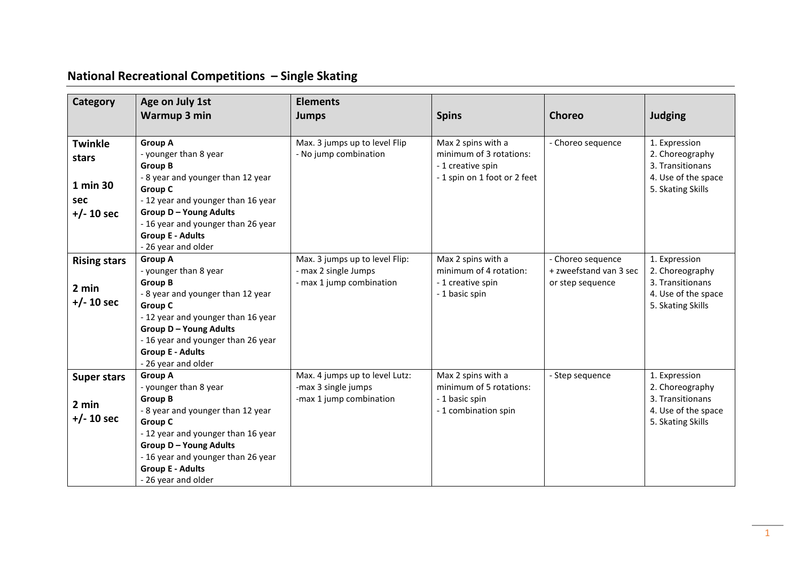## **National Recreational Competitions – Single Skating**

| Category                                                   | Age on July 1st<br>Warmup 3 min                                                                                                                                                                                                                                                 | <b>Elements</b><br><b>Jumps</b>                                                    | <b>Spins</b>                                                                                      | <b>Choreo</b>                                                   | <b>Judging</b>                                                                                   |
|------------------------------------------------------------|---------------------------------------------------------------------------------------------------------------------------------------------------------------------------------------------------------------------------------------------------------------------------------|------------------------------------------------------------------------------------|---------------------------------------------------------------------------------------------------|-----------------------------------------------------------------|--------------------------------------------------------------------------------------------------|
|                                                            |                                                                                                                                                                                                                                                                                 |                                                                                    |                                                                                                   |                                                                 |                                                                                                  |
| <b>Twinkle</b><br>stars<br>1 min 30<br>sec<br>$+/- 10$ sec | <b>Group A</b><br>- younger than 8 year<br><b>Group B</b><br>- 8 year and younger than 12 year<br><b>Group C</b><br>- 12 year and younger than 16 year<br><b>Group D - Young Adults</b><br>- 16 year and younger than 26 year<br><b>Group E - Adults</b><br>- 26 year and older | Max. 3 jumps up to level Flip<br>- No jump combination                             | Max 2 spins with a<br>minimum of 3 rotations:<br>- 1 creative spin<br>-1 spin on 1 foot or 2 feet | - Choreo sequence                                               | 1. Expression<br>2. Choreography<br>3. Transitionans<br>4. Use of the space<br>5. Skating Skills |
| <b>Rising stars</b><br>2 min<br>$+/- 10$ sec               | <b>Group A</b><br>- younger than 8 year<br><b>Group B</b><br>- 8 year and younger than 12 year<br><b>Group C</b><br>- 12 year and younger than 16 year<br><b>Group D-Young Adults</b><br>- 16 year and younger than 26 year<br><b>Group E - Adults</b><br>- 26 year and older   | Max. 3 jumps up to level Flip:<br>- max 2 single Jumps<br>- max 1 jump combination | Max 2 spins with a<br>minimum of 4 rotation:<br>- 1 creative spin<br>- 1 basic spin               | - Choreo sequence<br>+ zweefstand van 3 sec<br>or step sequence | 1. Expression<br>2. Choreography<br>3. Transitionans<br>4. Use of the space<br>5. Skating Skills |
| <b>Super stars</b><br>2 min<br>$+/- 10$ sec                | <b>Group A</b><br>- younger than 8 year<br><b>Group B</b><br>- 8 year and younger than 12 year<br><b>Group C</b><br>- 12 year and younger than 16 year<br><b>Group D-Young Adults</b><br>- 16 year and younger than 26 year<br><b>Group E - Adults</b><br>- 26 year and older   | Max. 4 jumps up to level Lutz:<br>-max 3 single jumps<br>-max 1 jump combination   | Max 2 spins with a<br>minimum of 5 rotations:<br>- 1 basic spin<br>- 1 combination spin           | - Step sequence                                                 | 1. Expression<br>2. Choreography<br>3. Transitionans<br>4. Use of the space<br>5. Skating Skills |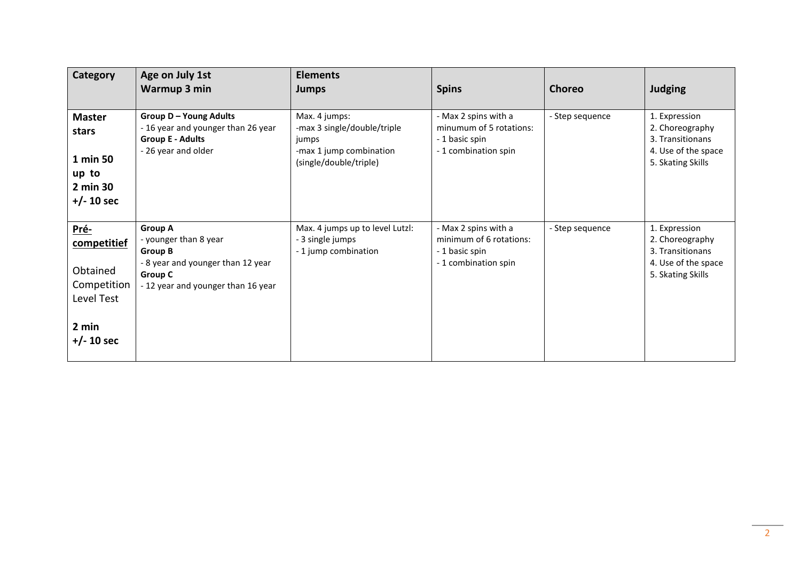| <b>Category</b>                                                                       | Age on July 1st<br>Warmup 3 min                                                                                                                        | <b>Elements</b><br><b>Jumps</b>                                                                            | <b>Spins</b>                                                                              | <b>Choreo</b>   | <b>Judging</b>                                                                                   |
|---------------------------------------------------------------------------------------|--------------------------------------------------------------------------------------------------------------------------------------------------------|------------------------------------------------------------------------------------------------------------|-------------------------------------------------------------------------------------------|-----------------|--------------------------------------------------------------------------------------------------|
| <b>Master</b><br>stars<br>1 min 50<br>up to<br>2 min 30<br>$+/- 10$ sec               | <b>Group D-Young Adults</b><br>- 16 year and younger than 26 year<br><b>Group E - Adults</b><br>- 26 year and older                                    | Max. 4 jumps:<br>-max 3 single/double/triple<br>jumps<br>-max 1 jump combination<br>(single/double/triple) | - Max 2 spins with a<br>minumum of 5 rotations:<br>- 1 basic spin<br>- 1 combination spin | - Step sequence | 1. Expression<br>2. Choreography<br>3. Transitionans<br>4. Use of the space<br>5. Skating Skills |
| Pré-<br>competitief<br>Obtained<br>Competition<br>Level Test<br>2 min<br>$+/- 10$ sec | <b>Group A</b><br>- younger than 8 year<br><b>Group B</b><br>- 8 year and younger than 12 year<br><b>Group C</b><br>- 12 year and younger than 16 year | Max. 4 jumps up to level Lutzl:<br>- 3 single jumps<br>- 1 jump combination                                | - Max 2 spins with a<br>minimum of 6 rotations:<br>- 1 basic spin<br>-1 combination spin  | - Step sequence | 1. Expression<br>2. Choreography<br>3. Transitionans<br>4. Use of the space<br>5. Skating Skills |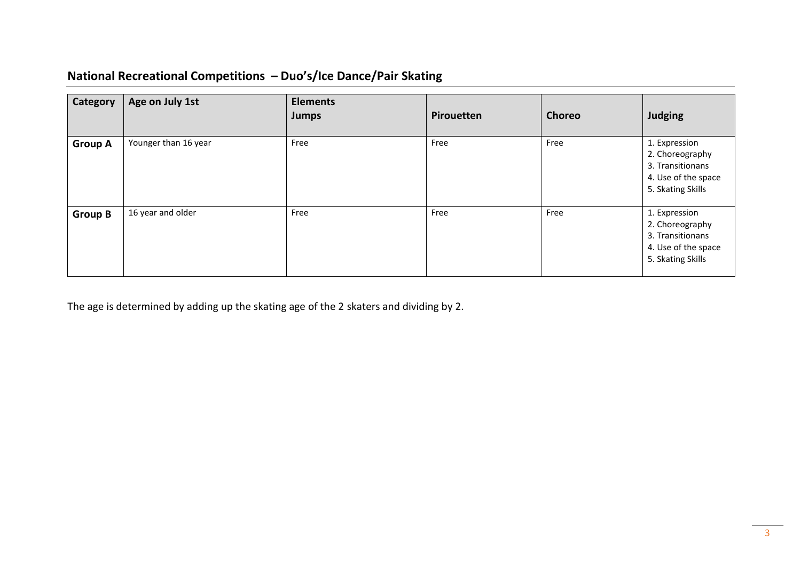## **National Recreational Competitions – Duo's/Ice Dance/Pair Skating**

| <b>Category</b> | Age on July 1st      | <b>Elements</b><br><b>Jumps</b> | Pirouetten | <b>Choreo</b> | <b>Judging</b>                                                                                   |
|-----------------|----------------------|---------------------------------|------------|---------------|--------------------------------------------------------------------------------------------------|
| <b>Group A</b>  | Younger than 16 year | Free                            | Free       | Free          | 1. Expression<br>2. Choreography<br>3. Transitionans<br>4. Use of the space<br>5. Skating Skills |
| <b>Group B</b>  | 16 year and older    | Free                            | Free       | Free          | 1. Expression<br>2. Choreography<br>3. Transitionans<br>4. Use of the space<br>5. Skating Skills |

The age is determined by adding up the skating age of the 2 skaters and dividing by 2.